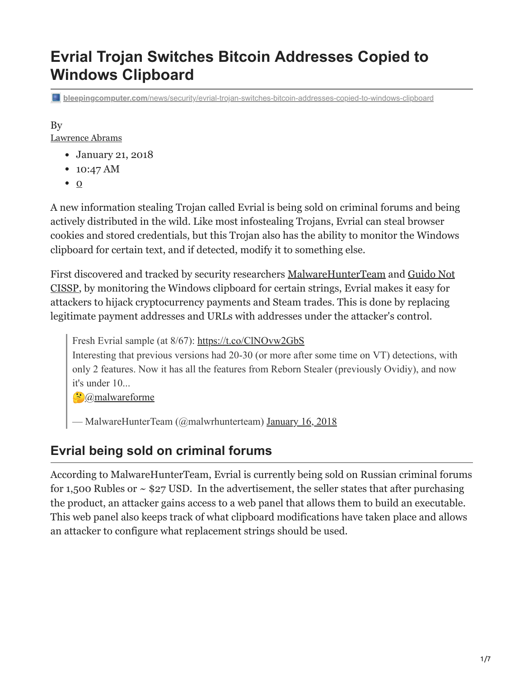# **Evrial Trojan Switches Bitcoin Addresses Copied to Windows Clipboard**

**bleepingcomputer.com**[/news/security/evrial-trojan-switches-bitcoin-addresses-copied-to-windows-clipboard](https://www.bleepingcomputer.com/news/security/evrial-trojan-switches-bitcoin-addresses-copied-to-windows-clipboard/)

# By

[Lawrence Abrams](https://www.bleepingcomputer.com/author/lawrence-abrams/)

- January 21, 2018
- 10:47 AM
- $\bullet$  [0](#page-6-0)

A new information stealing Trojan called Evrial is being sold on criminal forums and being actively distributed in the wild. Like most infostealing Trojans, Evrial can steal browser cookies and stored credentials, but this Trojan also has the ability to monitor the Windows clipboard for certain text, and if detected, modify it to something else.

[First discovered and tracked by security researchers](https://twitter.com/0x7fff9) [MalwareHunterTeam](https://twitter.com/malwrhunterteam) [and Guido Not](https://twitter.com/0x7fff9) CISSP, by monitoring the Windows clipboard for certain strings, Evrial makes it easy for attackers to hijack cryptocurrency payments and Steam trades. This is done by replacing legitimate payment addresses and URLs with addresses under the attacker's control.

Fresh Evrial sample (at 8/67): <https://t.co/ClNOvw2GbS>

Interesting that previous versions had 20-30 (or more after some time on VT) detections, with only 2 features. Now it has all the features from Reborn Stealer (previously Ovidiy), and now it's under 10...

 $\odot$  [@malwareforme](https://twitter.com/malwareforme?ref_src=twsrc%5Etfw)

— MalwareHunterTeam (@malwrhunterteam) [January 16, 2018](https://twitter.com/malwrhunterteam/status/953313514629853184?ref_src=twsrc%5Etfw)

## **Evrial being sold on criminal forums**

According to MalwareHunterTeam, Evrial is currently being sold on Russian criminal forums for 1,500 Rubles or  $\sim$  \$27 USD. In the advertisement, the seller states that after purchasing the product, an attacker gains access to a web panel that allows them to build an executable. This web panel also keeps track of what clipboard modifications have taken place and allows an attacker to configure what replacement strings should be used.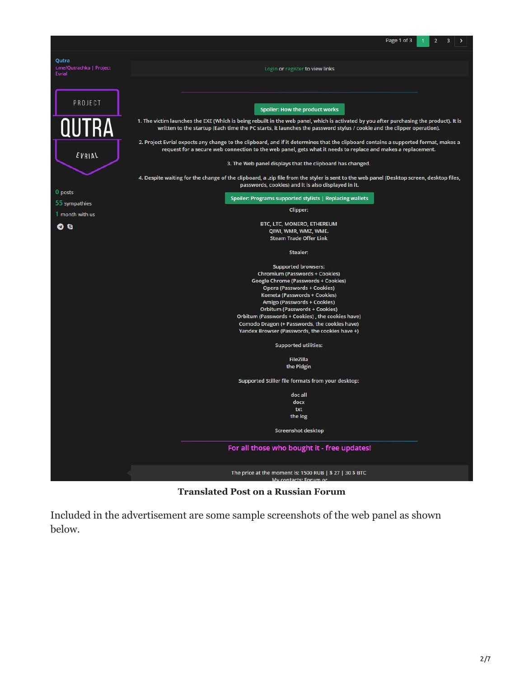

**Translated Post on a Russian Forum**

Included in the advertisement are some sample screenshots of the web panel as shown below.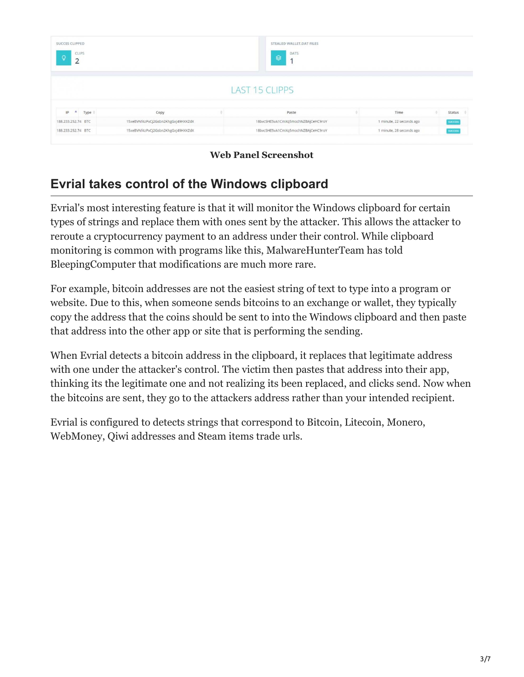| <b>SUCCES CLIPPED</b><br>CLIPS<br>$\Omega$<br>$\overline{2}$ |      |                                    | STEALED WALLET, DAT FILES<br>DATS<br>⊜<br>1 |                          |                |
|--------------------------------------------------------------|------|------------------------------------|---------------------------------------------|--------------------------|----------------|
|                                                              |      |                                    | <b>LAST 15 CLIPPS</b>                       |                          |                |
|                                                              |      |                                    |                                             |                          |                |
| IP<br>A <sub>1</sub>                                         | Type | Copy                               | Paste                                       | Time                     | Status #       |
| 188.233.252.74 BTC                                           |      | 15xeBVNf4zPvCj2Gsbn2KhgGxj49HXXZdX | 18bvcSHE5vA1CmXq5mochNZBAjCeHC9roY          | 1 minute, 22 seconds ago | <b>SUCCESS</b> |

**Web Panel Screenshot**

## **Evrial takes control of the Windows clipboard**

Evrial's most interesting feature is that it will monitor the Windows clipboard for certain types of strings and replace them with ones sent by the attacker. This allows the attacker to reroute a cryptocurrency payment to an address under their control. While clipboard monitoring is common with programs like this, MalwareHunterTeam has told BleepingComputer that modifications are much more rare.

For example, bitcoin addresses are not the easiest string of text to type into a program or website. Due to this, when someone sends bitcoins to an exchange or wallet, they typically copy the address that the coins should be sent to into the Windows clipboard and then paste that address into the other app or site that is performing the sending.

When Evrial detects a bitcoin address in the clipboard, it replaces that legitimate address with one under the attacker's control. The victim then pastes that address into their app, thinking its the legitimate one and not realizing its been replaced, and clicks send. Now when the bitcoins are sent, they go to the attackers address rather than your intended recipient.

Evrial is configured to detects strings that correspond to Bitcoin, Litecoin, Monero, WebMoney, Qiwi addresses and Steam items trade urls.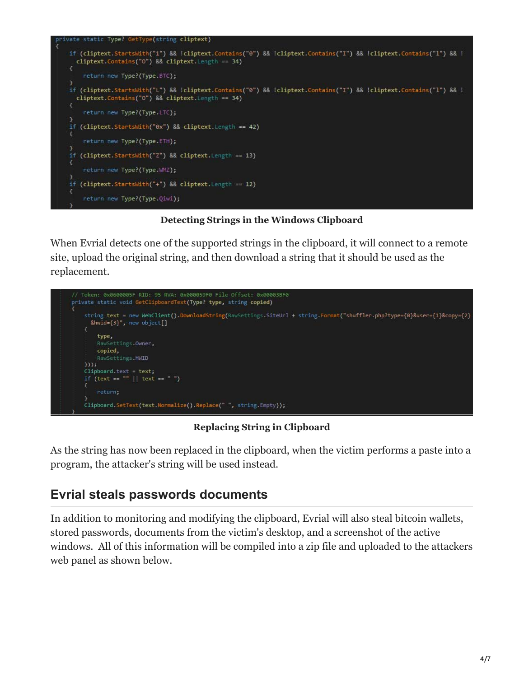

**Detecting Strings in the Windows Clipboard**

When Evrial detects one of the supported strings in the clipboard, it will connect to a remote site, upload the original string, and then download a string that it should be used as the replacement.



**Replacing String in Clipboard**

As the string has now been replaced in the clipboard, when the victim performs a paste into a program, the attacker's string will be used instead.

## **Evrial steals passwords documents**

In addition to monitoring and modifying the clipboard, Evrial will also steal bitcoin wallets, stored passwords, documents from the victim's desktop, and a screenshot of the active windows. All of this information will be compiled into a zip file and uploaded to the attackers web panel as shown below.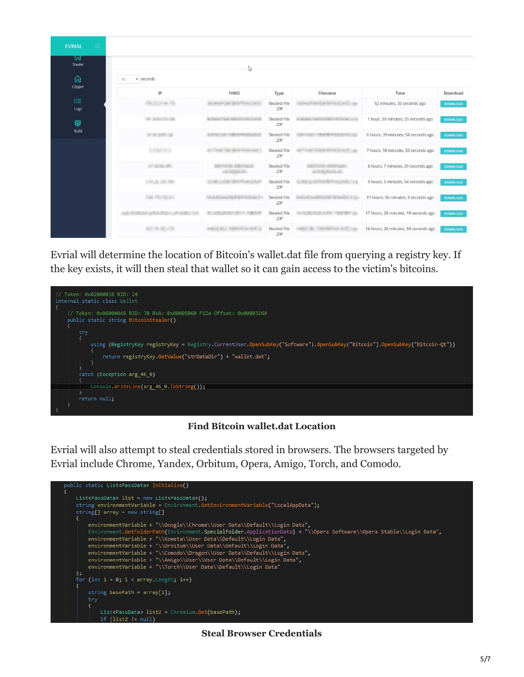| $\equiv$<br><b>EVRIAL</b> |                                 |                                                      |                            |                             |                                      |                 |  |  |  |  |
|---------------------------|---------------------------------|------------------------------------------------------|----------------------------|-----------------------------|--------------------------------------|-----------------|--|--|--|--|
| 冚<br>Stealer              | $\mathbb{Q}$<br>v records<br>10 |                                                      |                            |                             |                                      |                 |  |  |  |  |
| ⋒<br>Clipper              |                                 |                                                      |                            |                             |                                      |                 |  |  |  |  |
|                           | IP                              | <b>HWID</b>                                          | Type                       | Filename                    | Time                                 | Download        |  |  |  |  |
| 挂<br>Logs                 | On Division On                  |                                                      | <b>Stealed File</b><br>ZIP | AUTO DE MATOR DE LANCO<br>m | 52 minutes, 30 seconds ago           | <b>DOWNLOAD</b> |  |  |  |  |
| ❤                         | <b>SE ASUNIAN</b>               |                                                      | Stealed File<br>ZIP        | -                           | 1 hour, 39 minutes, 55 seconds ago   | <b>DOWNLOAD</b> |  |  |  |  |
| Build                     | 世界が中国                           |                                                      | Stealed File<br>ZIP        |                             | 6 hours, 39 minutes, 54 seconds ago  | <b>DOWNLOAD</b> |  |  |  |  |
|                           | S. AZMAN HALLS                  |                                                      | <b>Stealed File</b><br>ZIP |                             | 7 hours, 18 minutes, 33 seconds ago  | <b>DOWNLOAD</b> |  |  |  |  |
|                           | 进展基準                            |                                                      | Stealed File<br>ZIP        | ar to dearths Paradici      | 8 hours, 7 minutes, 29 seconds ago   | <b>DOWNLOAD</b> |  |  |  |  |
|                           | CHARLINE SIDE MIRES             |                                                      | Stealed File<br>ZIP        | <b>K. M.W. H.</b>           | 9 hours, 5 minutes, 54 seconds ago   | DOWNLOAD        |  |  |  |  |
|                           | THE TRUTH HA                    | The standard Constitution of the Constitution of the | Stealed File<br>ZIP        | ---                         | 11 hours, 36 minutes, 9 seconds ago  | <b>DOWNLOAD</b> |  |  |  |  |
|                           | <b>CONTRACTOR</b>               |                                                      | Stealed File<br>.ZIP       |                             | 17 hours, 28 minutes, 19 seconds ago | <b>DOWNLOAD</b> |  |  |  |  |
|                           |                                 |                                                      | Stealed File<br>ZIP        |                             | 18 hours, 26 minutes, 59 seconds ago | <b>DOWNLOAD</b> |  |  |  |  |

Evrial will determine the location of Bitcoin's wallet.dat file from querying a registry key. If the key exists, it will then steal that wallet so it can gain access to the victim's bitcoins.



#### **Find Bitcoin wallet.dat Location**

Evrial will also attempt to steal credentials stored in browsers. The browsers targeted by Evrial include Chrome, Yandex, Orbitum, Opera, Amigo, Torch, and Comodo.



**Steal Browser Credentials**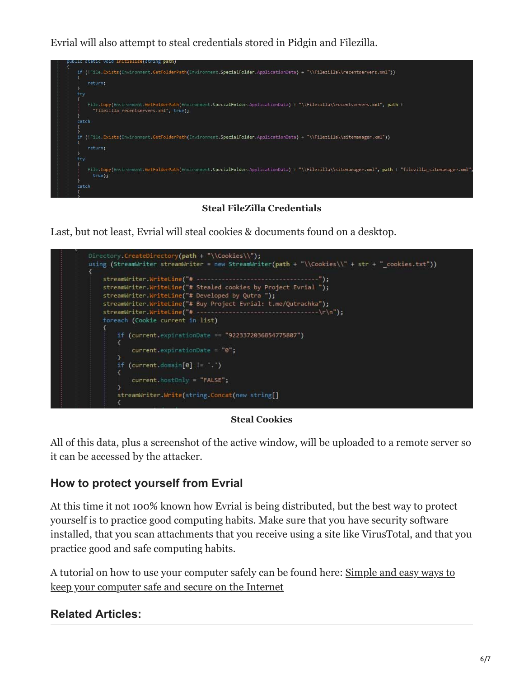Evrial will also attempt to steal credentials stored in Pidgin and Filezilla.



**Steal FileZilla Credentials**

Last, but not least, Evrial will steal cookies & documents found on a desktop.



#### **Steal Cookies**

All of this data, plus a screenshot of the active window, will be uploaded to a remote server so it can be accessed by the attacker.

### **How to protect yourself from Evrial**

At this time it not 100% known how Evrial is being distributed, but the best way to protect yourself is to practice good computing habits. Make sure that you have security software installed, that you scan attachments that you receive using a site like VirusTotal, and that you practice good and safe computing habits.

[A tutorial on how to use your computer safely can be found here: Simple and easy ways to](https://www.bleepingcomputer.com/tutorials/keep-your-computer-safe-online/) keep your computer safe and secure on the Internet

### **Related Articles:**